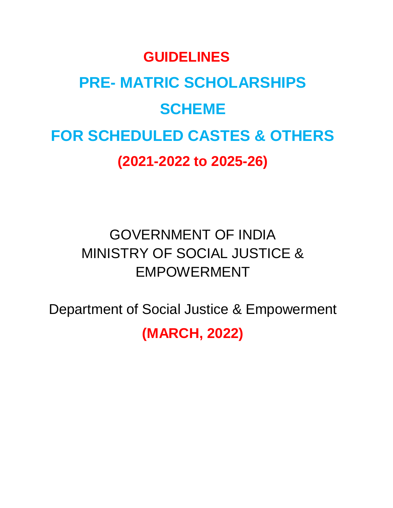# **GUIDELINES PRE- MATRIC SCHOLARSHIPS SCHEME FOR SCHEDULED CASTES & OTHERS (2021-2022 to 2025-26)**

# GOVERNMENT OF INDIA MINISTRY OF SOCIAL JUSTICE & EMPOWERMENT

Department of Social Justice & Empowerment

**(MARCH, 2022)**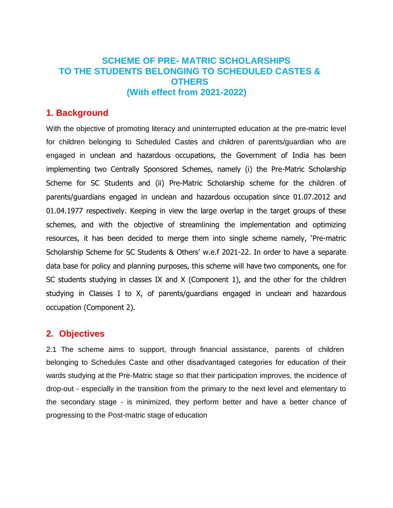# **SCHEME OF PRE- MATRIC SCHOLARSHIPS TO THE STUDENTS BELONGING TO SCHEDULED CASTES & OTHERS (With effect from 2021-2022)**

#### **1. Background**

With the objective of promoting literacy and uninterrupted education at the pre-matric level for children belonging to Scheduled Castes and children of parents/guardian who are engaged in unclean and hazardous occupations, the Government of India has been implementing two Centrally Sponsored Schemes, namely (i) the Pre-Matric Scholarship Scheme for SC Students and (ii) Pre-Matric Scholarship scheme for the children of parents/guardians engaged in unclean and hazardous occupation since 01.07.2012 and 01.04.1977 respectively. Keeping in view the large overlap in the target groups of these schemes, and with the objective of streamlining the implementation and optimizing resources, it has been decided to merge them into single scheme namely, 'Pre-matric Scholarship Scheme for SC Students & Others' w.e.f 2021-22. In order to have a separate data base for policy and planning purposes, this scheme will have two components, one for SC students studying in classes IX and X (Component 1), and the other for the children studying in Classes I to X, of parents/guardians engaged in unclean and hazardous occupation (Component 2).

#### **2. Objectives**

2.1 The scheme aims to support, through financial assistance, parents of children belonging to Schedules Caste and other disadvantaged categories for education of their wards studying at the Pre-Matric stage so that their participation improves, the incidence of drop-out - especially in the transition from the primary to the next level and elementary to the secondary stage - is minimized, they perform better and have a better chance of progressing to the Post-matric stage of education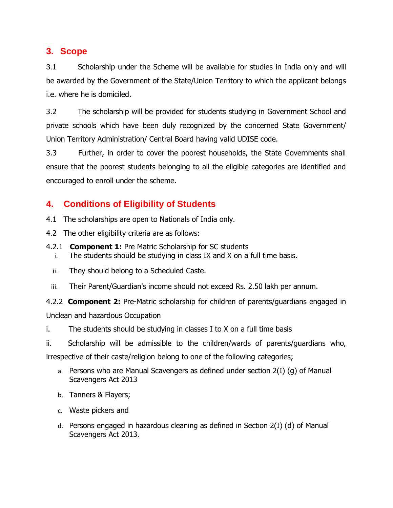# **3. Scope**

3.1 Scholarship under the Scheme will be available for studies in India only and will be awarded by the Government of the State/Union Territory to which the applicant belongs i.e. where he is domiciled.

3.2 The scholarship will be provided for students studying in Government School and private schools which have been duly recognized by the concerned State Government/ Union Territory Administration/ Central Board having valid UDISE code.

3.3 Further, in order to cover the poorest households, the State Governments shall ensure that the poorest students belonging to all the eligible categories are identified and encouraged to enroll under the scheme.

# **4. Conditions of Eligibility of Students**

- 4.1 The scholarships are open to Nationals of India only.
- 4.2 The other eligibility criteria are as follows:
- 4.2.1 **Component 1:** Pre Matric Scholarship for SC students
	- i. The students should be studying in class IX and X on a full time basis.
	- ii. They should belong to a Scheduled Caste.
	- iii. Their Parent/Guardian's income should not exceed Rs. 2.50 lakh per annum.

4.2.2 **Component 2:** Pre-Matric scholarship for children of parents/guardians engaged in Unclean and hazardous Occupation

i. The students should be studying in classes I to X on a full time basis

ii. Scholarship will be admissible to the children/wards of parents/guardians who, irrespective of their caste/religion belong to one of the following categories;

- a. Persons who are Manual Scavengers as defined under section 2(I) (g) of Manual Scavengers Act 2013
- b. Tanners & Flayers;
- c. Waste pickers and
- d. Persons engaged in hazardous cleaning as defined in Section 2(I) (d) of Manual Scavengers Act 2013.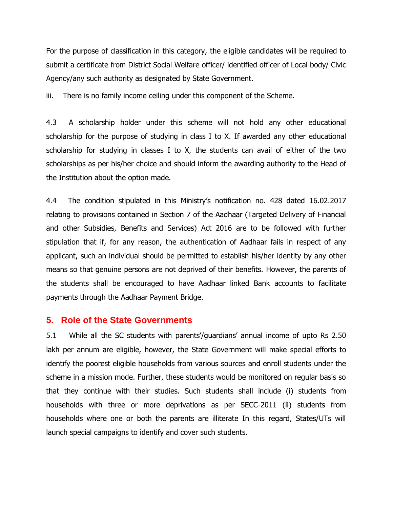For the purpose of classification in this category, the eligible candidates will be required to submit a certificate from District Social Welfare officer/ identified officer of Local body/ Civic Agency/any such authority as designated by State Government.

iii. There is no family income ceiling under this component of the Scheme.

4.3 A scholarship holder under this scheme will not hold any other educational scholarship for the purpose of studying in class I to X. If awarded any other educational scholarship for studying in classes I to X, the students can avail of either of the two scholarships as per his/her choice and should inform the awarding authority to the Head of the Institution about the option made.

4.4 The condition stipulated in this Ministry's notification no. 428 dated 16.02.2017 relating to provisions contained in Section 7 of the Aadhaar (Targeted Delivery of Financial and other Subsidies, Benefits and Services) Act 2016 are to be followed with further stipulation that if, for any reason, the authentication of Aadhaar fails in respect of any applicant, such an individual should be permitted to establish his/her identity by any other means so that genuine persons are not deprived of their benefits. However, the parents of the students shall be encouraged to have Aadhaar linked Bank accounts to facilitate payments through the Aadhaar Payment Bridge.

#### **5. Role of the State Governments**

5.1 While all the SC students with parents'/guardians' annual income of upto Rs 2.50 lakh per annum are eligible, however, the State Government will make special efforts to identify the poorest eligible households from various sources and enroll students under the scheme in a mission mode. Further, these students would be monitored on regular basis so that they continue with their studies. Such students shall include (i) students from households with three or more deprivations as per SECC-2011 (ii) students from households where one or both the parents are illiterate In this regard, States/UTs will launch special campaigns to identify and cover such students.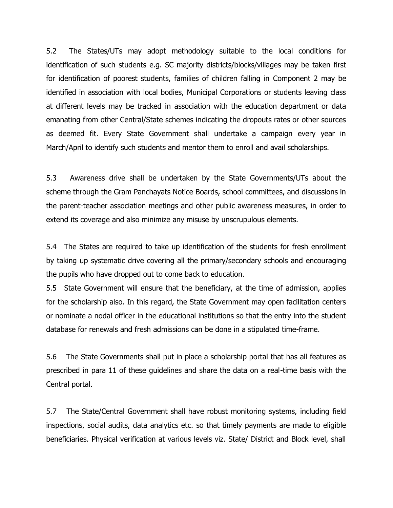5.2 The States/UTs may adopt methodology suitable to the local conditions for identification of such students e.g. SC majority districts/blocks/villages may be taken first for identification of poorest students, families of children falling in Component 2 may be identified in association with local bodies, Municipal Corporations or students leaving class at different levels may be tracked in association with the education department or data emanating from other Central/State schemes indicating the dropouts rates or other sources as deemed fit. Every State Government shall undertake a campaign every year in March/April to identify such students and mentor them to enroll and avail scholarships.

5.3 Awareness drive shall be undertaken by the State Governments/UTs about the scheme through the Gram Panchayats Notice Boards, school committees, and discussions in the parent-teacher association meetings and other public awareness measures, in order to extend its coverage and also minimize any misuse by unscrupulous elements.

5.4 The States are required to take up identification of the students for fresh enrollment by taking up systematic drive covering all the primary/secondary schools and encouraging the pupils who have dropped out to come back to education.

5.5 State Government will ensure that the beneficiary, at the time of admission, applies for the scholarship also. In this regard, the State Government may open facilitation centers or nominate a nodal officer in the educational institutions so that the entry into the student database for renewals and fresh admissions can be done in a stipulated time-frame.

5.6 The State Governments shall put in place a scholarship portal that has all features as prescribed in para 11 of these guidelines and share the data on a real-time basis with the Central portal.

5.7 The State/Central Government shall have robust monitoring systems, including field inspections, social audits, data analytics etc. so that timely payments are made to eligible beneficiaries. Physical verification at various levels viz. State/ District and Block level, shall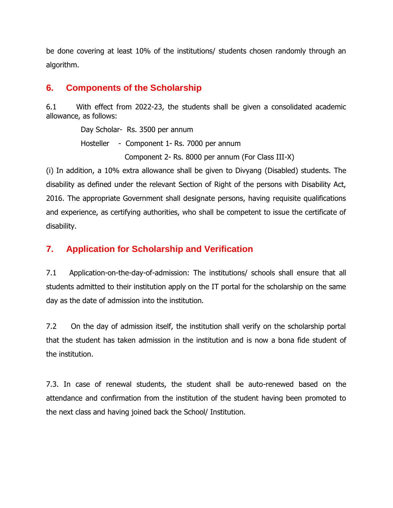be done covering at least 10% of the institutions/ students chosen randomly through an algorithm.

# **6. Components of the Scholarship**

6.1 With effect from 2022-23, the students shall be given a consolidated academic allowance, as follows:

> Day Scholar- Rs. 3500 per annum Hosteller - Component 1- Rs. 7000 per annum Component 2- Rs. 8000 per annum (For Class III-X)

(i) In addition, a 10% extra allowance shall be given to Divyang (Disabled) students. The disability as defined under the relevant Section of Right of the persons with Disability Act, 2016. The appropriate Government shall designate persons, having requisite qualifications and experience, as certifying authorities, who shall be competent to issue the certificate of disability.

# **7. Application for Scholarship and Verification**

7.1 Application-on-the-day-of-admission: The institutions/ schools shall ensure that all students admitted to their institution apply on the IT portal for the scholarship on the same day as the date of admission into the institution.

7.2 On the day of admission itself, the institution shall verify on the scholarship portal that the student has taken admission in the institution and is now a bona fide student of the institution.

7.3. In case of renewal students, the student shall be auto-renewed based on the attendance and confirmation from the institution of the student having been promoted to the next class and having joined back the School/ Institution.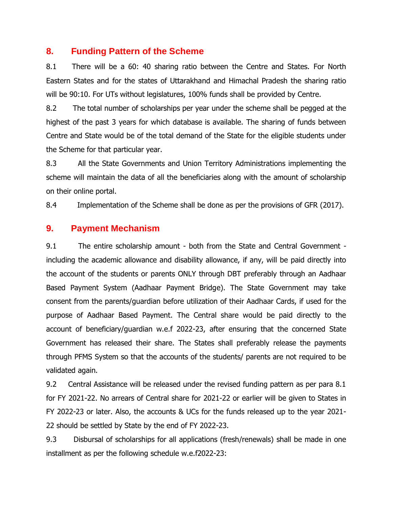#### **8. Funding Pattern of the Scheme**

8.1 There will be a 60: 40 sharing ratio between the Centre and States. For North Eastern States and for the states of Uttarakhand and Himachal Pradesh the sharing ratio will be 90:10. For UTs without legislatures, 100% funds shall be provided by Centre.

8.2 The total number of scholarships per year under the scheme shall be pegged at the highest of the past 3 years for which database is available. The sharing of funds between Centre and State would be of the total demand of the State for the eligible students under the Scheme for that particular year.

8.3 All the State Governments and Union Territory Administrations implementing the scheme will maintain the data of all the beneficiaries along with the amount of scholarship on their online portal.

8.4 Implementation of the Scheme shall be done as per the provisions of GFR (2017).

### **9. Payment Mechanism**

9.1 The entire scholarship amount - both from the State and Central Government including the academic allowance and disability allowance, if any, will be paid directly into the account of the students or parents ONLY through DBT preferably through an Aadhaar Based Payment System (Aadhaar Payment Bridge). The State Government may take consent from the parents/guardian before utilization of their Aadhaar Cards, if used for the purpose of Aadhaar Based Payment. The Central share would be paid directly to the account of beneficiary/guardian w.e.f 2022-23, after ensuring that the concerned State Government has released their share. The States shall preferably release the payments through PFMS System so that the accounts of the students/ parents are not required to be validated again.

9.2 Central Assistance will be released under the revised funding pattern as per para 8.1 for FY 2021-22. No arrears of Central share for 2021-22 or earlier will be given to States in FY 2022-23 or later. Also, the accounts & UCs for the funds released up to the year 2021- 22 should be settled by State by the end of FY 2022-23.

9.3 Disbursal of scholarships for all applications (fresh/renewals) shall be made in one installment as per the following schedule w.e.f2022-23: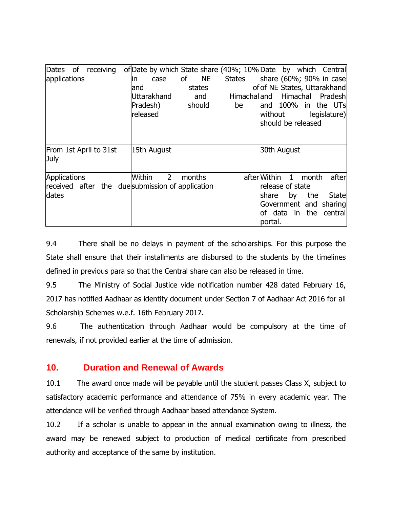| Dates of receiving<br>applications                                        | of Date by which State share (40%; 10% Date by which Central<br><b>NE</b><br>οf<br><b>States</b><br>lin.<br>case<br>states<br>land<br><b>Uttarakhand</b><br>and<br>Pradesh)<br>should<br>be<br>released | share (60%; 90% in case<br>of of NE States, Uttarakhand<br>Himachalland Himachal<br>Pradesh<br>and 100% in the UTs<br>legislature)<br>without<br>should be released |
|---------------------------------------------------------------------------|---------------------------------------------------------------------------------------------------------------------------------------------------------------------------------------------------------|---------------------------------------------------------------------------------------------------------------------------------------------------------------------|
| From 1st April to 31st<br>July                                            | 15th August                                                                                                                                                                                             | 30th August                                                                                                                                                         |
| Applications<br>received after the due submission of application<br>dates | $2^{\circ}$<br>Within<br>months                                                                                                                                                                         | afterWithin 1<br>after<br>month<br>release of state<br>the<br>State<br><b>Ishare</b><br>by<br>Government and sharing<br><b>lof</b> data in the central<br>portal.   |

9.4 There shall be no delays in payment of the scholarships. For this purpose the State shall ensure that their installments are disbursed to the students by the timelines defined in previous para so that the Central share can also be released in time.

9.5 The Ministry of Social Justice vide notification number 428 dated February 16, 2017 has notified Aadhaar as identity document under Section 7 of Aadhaar Act 2016 for all Scholarship Schemes w.e.f. 16th February 2017.

9.6 The authentication through Aadhaar would be compulsory at the time of renewals, if not provided earlier at the time of admission.

# **10. Duration and Renewal of Awards**

10.1 The award once made will be payable until the student passes Class X, subject to satisfactory academic performance and attendance of 75% in every academic year. The attendance will be verified through Aadhaar based attendance System.

10.2 If a scholar is unable to appear in the annual examination owing to illness, the award may be renewed subject to production of medical certificate from prescribed authority and acceptance of the same by institution.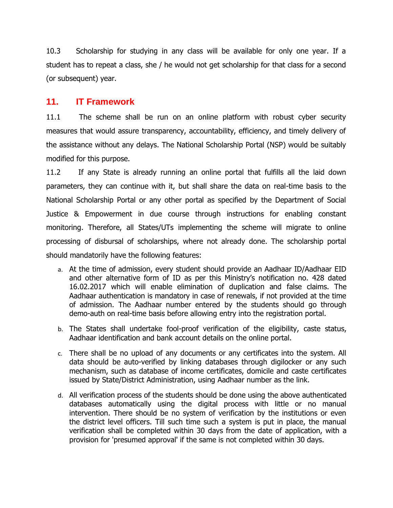10.3 Scholarship for studying in any class will be available for only one year. If a student has to repeat a class, she / he would not get scholarship for that class for a second (or subsequent) year.

#### **11. IT Framework**

11.1 The scheme shall be run on an online platform with robust cyber security measures that would assure transparency, accountability, efficiency, and timely delivery of the assistance without any delays. The National Scholarship Portal (NSP) would be suitably modified for this purpose.

11.2 If any State is already running an online portal that fulfills all the laid down parameters, they can continue with it, but shall share the data on real-time basis to the National Scholarship Portal or any other portal as specified by the Department of Social Justice & Empowerment in due course through instructions for enabling constant monitoring. Therefore, all States/UTs implementing the scheme will migrate to online processing of disbursal of scholarships, where not already done. The scholarship portal should mandatorily have the following features:

- a. At the time of admission, every student should provide an Aadhaar ID/Aadhaar EID and other alternative form of ID as per this Ministry's notification no. 428 dated 16.02.2017 which will enable elimination of duplication and false claims. The Aadhaar authentication is mandatory in case of renewals, if not provided at the time of admission. The Aadhaar number entered by the students should go through demo-auth on real-time basis before allowing entry into the registration portal.
- b. The States shall undertake fool-proof verification of the eligibility, caste status, Aadhaar identification and bank account details on the online portal.
- c. There shall be no upload of any documents or any certificates into the system. All data should be auto-verified by linking databases through digilocker or any such mechanism, such as database of income certificates, domicile and caste certificates issued by State/District Administration, using Aadhaar number as the link.
- d. All verification process of the students should be done using the above authenticated databases automatically using the digital process with little or no manual intervention. There should be no system of verification by the institutions or even the district level officers. Till such time such a system is put in place, the manual verification shall be completed within 30 days from the date of application, with a provision for 'presumed approval' if the same is not completed within 30 days.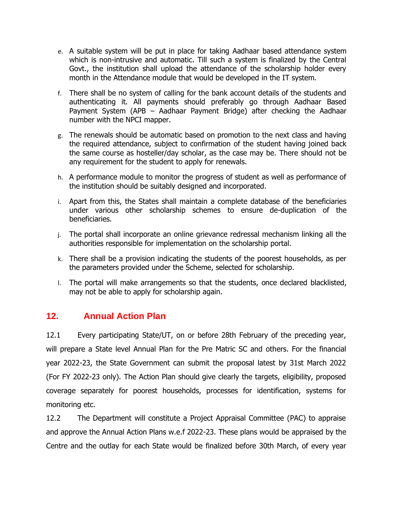- e. A suitable system will be put in place for taking Aadhaar based attendance system which is non-intrusive and automatic. Till such a system is finalized by the Central Govt., the institution shall upload the attendance of the scholarship holder every month in the Attendance module that would be developed in the IT system.
- f. There shall be no system of calling for the bank account details of the students and authenticating it. All payments should preferably go through Aadhaar Based Payment System (APB – Aadhaar Payment Bridge) after checking the Aadhaar number with the NPCI mapper.
- g. The renewals should be automatic based on promotion to the next class and having the required attendance, subject to confirmation of the student having joined back the same course as hosteller/day scholar, as the case may be. There should not be any requirement for the student to apply for renewals.
- h. A performance module to monitor the progress of student as well as performance of the institution should be suitably designed and incorporated.
- i. Apart from this, the States shall maintain a complete database of the beneficiaries under various other scholarship schemes to ensure de-duplication of the beneficiaries.
- j. The portal shall incorporate an online grievance redressal mechanism linking all the authorities responsible for implementation on the scholarship portal.
- k. There shall be a provision indicating the students of the poorest households, as per the parameters provided under the Scheme, selected for scholarship.
- l. The portal will make arrangements so that the students, once declared blacklisted, may not be able to apply for scholarship again.

# **12. Annual Action Plan**

12.1 Every participating State/UT, on or before 28th February of the preceding year, will prepare a State level Annual Plan for the Pre Matric SC and others. For the financial year 2022-23, the State Government can submit the proposal latest by 31st March 2022 (For FY 2022-23 only). The Action Plan should give clearly the targets, eligibility, proposed coverage separately for poorest households, processes for identification, systems for monitoring etc.

12.2 The Department will constitute a Project Appraisal Committee (PAC) to appraise and approve the Annual Action Plans w.e.f 2022-23. These plans would be appraised by the Centre and the outlay for each State would be finalized before 30th March, of every year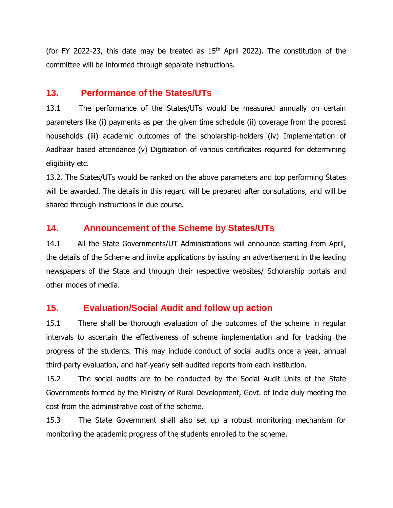(for FY 2022-23, this date may be treated as  $15<sup>th</sup>$  April 2022). The constitution of the committee will be informed through separate instructions.

# **13. Performance of the States/UTs**

13.1 The performance of the States/UTs would be measured annually on certain parameters like (i) payments as per the given time schedule (ii) coverage from the poorest households (iii) academic outcomes of the scholarship-holders (iv) Implementation of Aadhaar based attendance (v) Digitization of various certificates required for determining eligibility etc.

13.2. The States/UTs would be ranked on the above parameters and top performing States will be awarded. The details in this regard will be prepared after consultations, and will be shared through instructions in due course.

# **14. Announcement of the Scheme by States/UTs**

14.1 All the State Governments/UT Administrations will announce starting from April, the details of the Scheme and invite applications by issuing an advertisement in the leading newspapers of the State and through their respective websites/ Scholarship portals and other modes of media.

# **15. Evaluation/Social Audit and follow up action**

15.1 There shall be thorough evaluation of the outcomes of the scheme in regular intervals to ascertain the effectiveness of scheme implementation and for tracking the progress of the students. This may include conduct of social audits once a year, annual third-party evaluation, and half-yearly self-audited reports from each institution.

15.2 The social audits are to be conducted by the Social Audit Units of the State Governments formed by the Ministry of Rural Development, Govt. of India duly meeting the cost from the administrative cost of the scheme.

15.3 The State Government shall also set up a robust monitoring mechanism for monitoring the academic progress of the students enrolled to the scheme.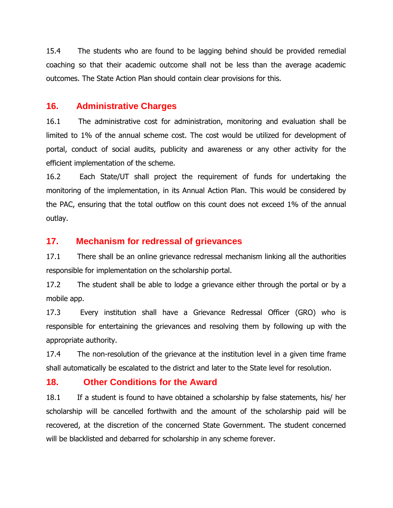15.4 The students who are found to be lagging behind should be provided remedial coaching so that their academic outcome shall not be less than the average academic outcomes. The State Action Plan should contain clear provisions for this.

#### **16. Administrative Charges**

16.1 The administrative cost for administration, monitoring and evaluation shall be limited to 1% of the annual scheme cost. The cost would be utilized for development of portal, conduct of social audits, publicity and awareness or any other activity for the efficient implementation of the scheme.

16.2 Each State/UT shall project the requirement of funds for undertaking the monitoring of the implementation, in its Annual Action Plan. This would be considered by the PAC, ensuring that the total outflow on this count does not exceed 1% of the annual outlay.

# **17. Mechanism for redressal of grievances**

17.1 There shall be an online grievance redressal mechanism linking all the authorities responsible for implementation on the scholarship portal.

17.2 The student shall be able to lodge a grievance either through the portal or by a mobile app.

17.3 Every institution shall have a Grievance Redressal Officer (GRO) who is responsible for entertaining the grievances and resolving them by following up with the appropriate authority.

17.4 The non-resolution of the grievance at the institution level in a given time frame shall automatically be escalated to the district and later to the State level for resolution.

#### **18. Other Conditions for the Award**

18.1 If a student is found to have obtained a scholarship by false statements, his/ her scholarship will be cancelled forthwith and the amount of the scholarship paid will be recovered, at the discretion of the concerned State Government. The student concerned will be blacklisted and debarred for scholarship in any scheme forever.